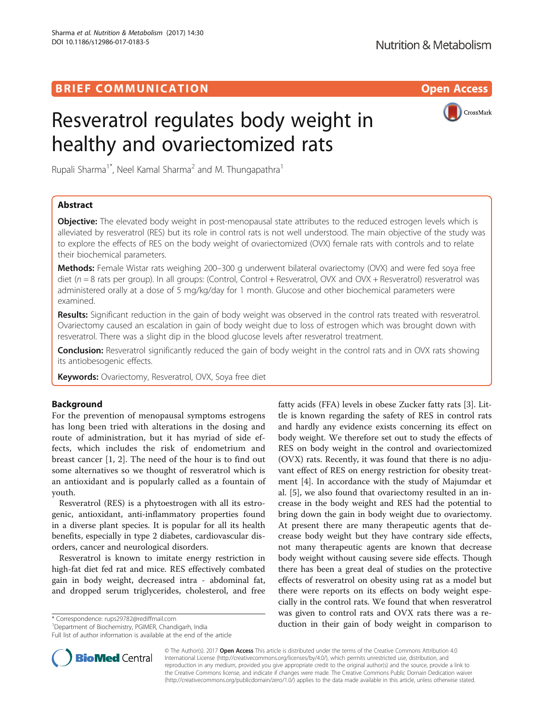# Resveratrol regulates body weight in healthy and ovariectomized rats



Rupali Sharma<sup>1\*</sup>, Neel Kamal Sharma<sup>2</sup> and M. Thungapathra<sup>1</sup>

# Abstract

**Objective:** The elevated body weight in post-menopausal state attributes to the reduced estrogen levels which is alleviated by resveratrol (RES) but its role in control rats is not well understood. The main objective of the study was to explore the effects of RES on the body weight of ovariectomized (OVX) female rats with controls and to relate their biochemical parameters.

Methods: Female Wistar rats weighing 200–300 g underwent bilateral ovariectomy (OVX) and were fed soya free diet ( $n = 8$  rats per group). In all groups: (Control, Control + Resveratrol, OVX and OVX + Resveratrol) resveratrol was administered orally at a dose of 5 mg/kg/day for 1 month. Glucose and other biochemical parameters were examined.

Results: Significant reduction in the gain of body weight was observed in the control rats treated with resveratrol. Ovariectomy caused an escalation in gain of body weight due to loss of estrogen which was brought down with resveratrol. There was a slight dip in the blood glucose levels after resveratrol treatment.

**Conclusion:** Resveratrol significantly reduced the gain of body weight in the control rats and in OVX rats showing its antiobesogenic effects.

Keywords: Ovariectomy, Resveratrol, OVX, Soya free diet

# Background

For the prevention of menopausal symptoms estrogens has long been tried with alterations in the dosing and route of administration, but it has myriad of side effects, which includes the risk of endometrium and breast cancer [[1, 2](#page-5-0)]. The need of the hour is to find out some alternatives so we thought of resveratrol which is an antioxidant and is popularly called as a fountain of youth.

Resveratrol (RES) is a phytoestrogen with all its estrogenic, antioxidant, anti-inflammatory properties found in a diverse plant species. It is popular for all its health benefits, especially in type 2 diabetes, cardiovascular disorders, cancer and neurological disorders.

Resveratrol is known to imitate energy restriction in high-fat diet fed rat and mice. RES effectively combated gain in body weight, decreased intra - abdominal fat, and dropped serum triglycerides, cholesterol, and free

Department of Biochemistry, PGIMER, Chandigarh, India

Full list of author information is available at the end of the article

fatty acids (FFA) levels in obese Zucker fatty rats [[3\]](#page-5-0). Little is known regarding the safety of RES in control rats and hardly any evidence exists concerning its effect on body weight. We therefore set out to study the effects of RES on body weight in the control and ovariectomized (OVX) rats. Recently, it was found that there is no adjuvant effect of RES on energy restriction for obesity treatment [[4\]](#page-5-0). In accordance with the study of Majumdar et al. [\[5](#page-5-0)], we also found that ovariectomy resulted in an increase in the body weight and RES had the potential to bring down the gain in body weight due to ovariectomy. At present there are many therapeutic agents that decrease body weight but they have contrary side effects, not many therapeutic agents are known that decrease body weight without causing severe side effects. Though there has been a great deal of studies on the protective effects of resveratrol on obesity using rat as a model but there were reports on its effects on body weight especially in the control rats. We found that when resveratrol was given to control rats and OVX rats there was a re\* Correspondence: [rups29782@rediffmail.com](mailto:rups29782@rediffmail.com) **10.6 mail and the mail and the mail and the mail and the mail and the mail and the mail and the mail and the mail and the mail and the mail and the mail and the mail and the mail** 



© The Author(s). 2017 **Open Access** This article is distributed under the terms of the Creative Commons Attribution 4.0 International License [\(http://creativecommons.org/licenses/by/4.0/](http://creativecommons.org/licenses/by/4.0/)), which permits unrestricted use, distribution, and reproduction in any medium, provided you give appropriate credit to the original author(s) and the source, provide a link to the Creative Commons license, and indicate if changes were made. The Creative Commons Public Domain Dedication waiver [\(http://creativecommons.org/publicdomain/zero/1.0/](http://creativecommons.org/publicdomain/zero/1.0/)) applies to the data made available in this article, unless otherwise stated.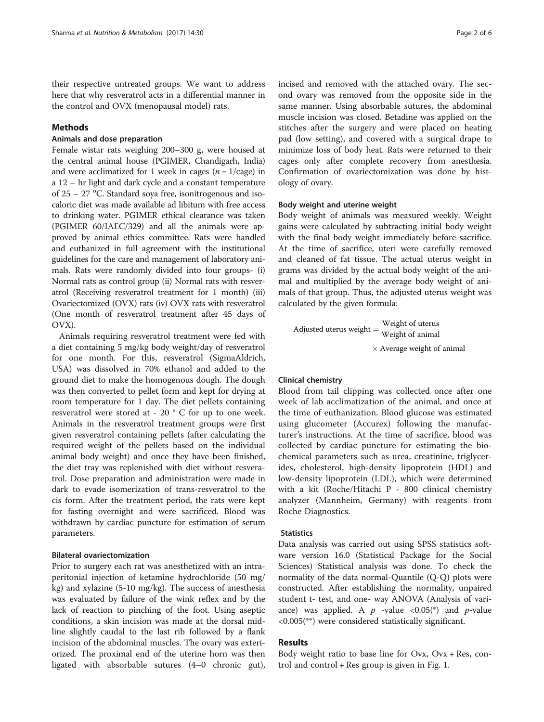their respective untreated groups. We want to address here that why resveratrol acts in a differential manner in the control and OVX (menopausal model) rats.

# Methods

## Animals and dose preparation

Female wistar rats weighing 200–300 g, were housed at the central animal house (PGIMER, Chandigarh, India) and were acclimatized for 1 week in cages ( $n = 1$ /cage) in a 12 – hr light and dark cycle and a constant temperature of 25 – 27 °C. Standard soya free, isonitrogenous and isocaloric diet was made available ad libitum with free access to drinking water. PGIMER ethical clearance was taken (PGIMER 60/IAEC/329) and all the animals were approved by animal ethics committee. Rats were handled and euthanized in full agreement with the institutional guidelines for the care and management of laboratory animals. Rats were randomly divided into four groups- (i) Normal rats as control group (ii) Normal rats with resveratrol (Receiving resveratrol treatment for 1 month) (iii) Ovariectomized (OVX) rats (iv) OVX rats with resveratrol (One month of resveratrol treatment after 45 days of OVX).

Animals requiring resveratrol treatment were fed with a diet containing 5 mg/kg body weight/day of resveratrol for one month. For this, resveratrol (SigmaAldrich, USA) was dissolved in 70% ethanol and added to the ground diet to make the homogenous dough. The dough was then converted to pellet form and kept for drying at room temperature for 1 day. The diet pellets containing resveratrol were stored at - 20 ° C for up to one week. Animals in the resveratrol treatment groups were first given resveratrol containing pellets (after calculating the required weight of the pellets based on the individual animal body weight) and once they have been finished, the diet tray was replenished with diet without resveratrol. Dose preparation and administration were made in dark to evade isomerization of trans-resveratrol to the cis form. After the treatment period, the rats were kept for fasting overnight and were sacrificed. Blood was withdrawn by cardiac puncture for estimation of serum parameters.

## Bilateral ovariectomization

Prior to surgery each rat was anesthetized with an intraperitonial injection of ketamine hydrochloride (50 mg/ kg) and xylazine (5-10 mg/kg). The success of anesthesia was evaluated by failure of the wink reflex and by the lack of reaction to pinching of the foot. Using aseptic conditions, a skin incision was made at the dorsal midline slightly caudal to the last rib followed by a flank incision of the abdominal muscles. The ovary was exteriorized. The proximal end of the uterine horn was then ligated with absorbable sutures (4–0 chronic gut), incised and removed with the attached ovary. The second ovary was removed from the opposite side in the same manner. Using absorbable sutures, the abdominal muscle incision was closed. Betadine was applied on the stitches after the surgery and were placed on heating pad (low setting), and covered with a surgical drape to minimize loss of body heat. Rats were returned to their cages only after complete recovery from anesthesia. Confirmation of ovariectomization was done by histology of ovary.

## Body weight and uterine weight

Body weight of animals was measured weekly. Weight gains were calculated by subtracting initial body weight with the final body weight immediately before sacrifice. At the time of sacrifice, uteri were carefully removed and cleaned of fat tissue. The actual uterus weight in grams was divided by the actual body weight of the animal and multiplied by the average body weight of animals of that group. Thus, the adjusted uterus weight was calculated by the given formula:

Adjusted uterus weight  $=\frac{\text{Weight of }$  uterus Weight of animal  $\times$  Average weight of animal

## Clinical chemistry

Blood from tail clipping was collected once after one week of lab acclimatization of the animal, and once at the time of euthanization. Blood glucose was estimated using glucometer (Accurex) following the manufacturer's instructions. At the time of sacrifice, blood was collected by cardiac puncture for estimating the biochemical parameters such as urea, creatinine, triglycerides, cholesterol, high-density lipoprotein (HDL) and low-density lipoprotein (LDL), which were determined with a kit (Roche/Hitachi P - 800 clinical chemistry analyzer (Mannheim, Germany) with reagents from Roche Diagnostics.

#### **Statistics**

Data analysis was carried out using SPSS statistics software version 16.0 (Statistical Package for the Social Sciences) Statistical analysis was done. To check the normality of the data normal-Quantile (Q-Q) plots were constructed. After establishing the normality, unpaired student t- test, and one- way ANOVA (Analysis of variance) was applied. A  $p$  -value <0.05(\*) and  $p$ -value <0.005(\*\*) were considered statistically significant.

# Results

Body weight ratio to base line for  $Ovx$ ,  $Ovx$  + Res, control and control + Res group is given in Fig. [1](#page-2-0).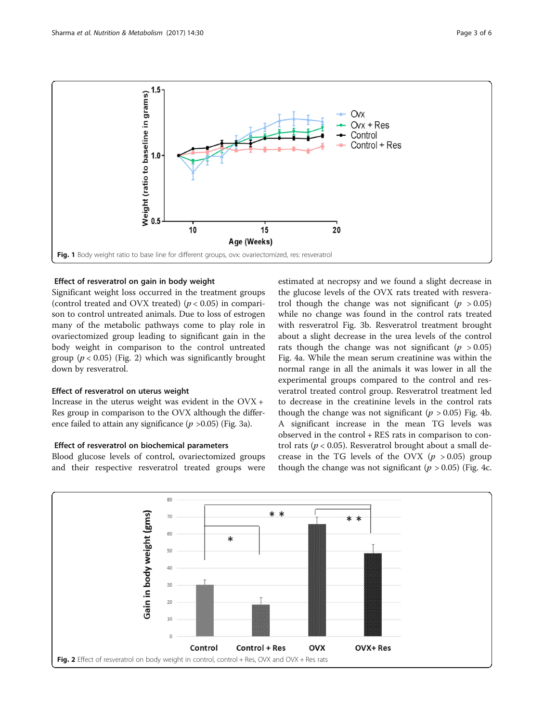<span id="page-2-0"></span>

## Effect of resveratrol on gain in body weight

Significant weight loss occurred in the treatment groups (control treated and OVX treated) ( $p < 0.05$ ) in comparison to control untreated animals. Due to loss of estrogen many of the metabolic pathways come to play role in ovariectomized group leading to significant gain in the body weight in comparison to the control untreated group ( $p < 0.05$ ) (Fig. 2) which was significantly brought down by resveratrol.

# Effect of resveratrol on uterus weight

Increase in the uterus weight was evident in the OVX + Res group in comparison to the OVX although the difference failed to attain any significance  $(p > 0.05)$  (Fig. [3a\)](#page-3-0).

## Effect of resveratrol on biochemical parameters

Blood glucose levels of control, ovariectomized groups and their respective resveratrol treated groups were estimated at necropsy and we found a slight decrease in the glucose levels of the OVX rats treated with resveratrol though the change was not significant ( $p > 0.05$ ) while no change was found in the control rats treated with resveratrol Fig. [3b](#page-3-0). Resveratrol treatment brought about a slight decrease in the urea levels of the control rats though the change was not significant ( $p > 0.05$ ) Fig. [4a.](#page-3-0) While the mean serum creatinine was within the normal range in all the animals it was lower in all the experimental groups compared to the control and resveratrol treated control group. Resveratrol treatment led to decrease in the creatinine levels in the control rats though the change was not significant ( $p > 0.05$ ) Fig. [4b](#page-3-0). A significant increase in the mean TG levels was observed in the control + RES rats in comparison to control rats ( $p < 0.05$ ). Resveratrol brought about a small decrease in the TG levels of the OVX ( $p > 0.05$ ) group though the change was not significant ( $p > 0.05$ ) (Fig. [4c](#page-3-0).

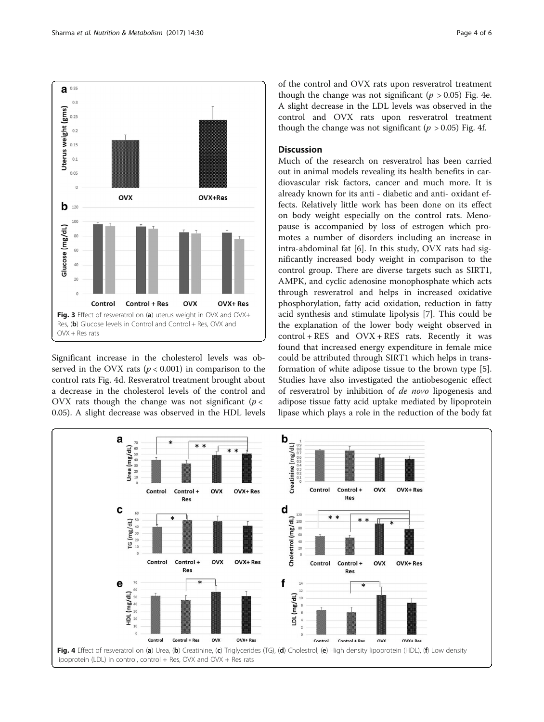<span id="page-3-0"></span>

Significant increase in the cholesterol levels was observed in the OVX rats ( $p < 0.001$ ) in comparison to the control rats Fig. 4d. Resveratrol treatment brought about a decrease in the cholesterol levels of the control and OVX rats though the change was not significant ( $p <$ 0.05). A slight decrease was observed in the HDL levels

of the control and OVX rats upon resveratrol treatment though the change was not significant ( $p > 0.05$ ) Fig. 4e. A slight decrease in the LDL levels was observed in the control and OVX rats upon resveratrol treatment though the change was not significant ( $p > 0.05$ ) Fig. 4f.

## **Discussion**

Much of the research on resveratrol has been carried out in animal models revealing its health benefits in cardiovascular risk factors, cancer and much more. It is already known for its anti - diabetic and anti- oxidant effects. Relatively little work has been done on its effect on body weight especially on the control rats. Menopause is accompanied by loss of estrogen which promotes a number of disorders including an increase in intra-abdominal fat [[6\]](#page-5-0). In this study, OVX rats had significantly increased body weight in comparison to the control group. There are diverse targets such as SIRT1, AMPK, and cyclic adenosine monophosphate which acts through resveratrol and helps in increased oxidative phosphorylation, fatty acid oxidation, reduction in fatty acid synthesis and stimulate lipolysis [\[7](#page-5-0)]. This could be the explanation of the lower body weight observed in  $control + RES$  and  $OVX + RES$  rats. Recently it was found that increased energy expenditure in female mice could be attributed through SIRT1 which helps in transformation of white adipose tissue to the brown type [\[5](#page-5-0)]. Studies have also investigated the antiobesogenic effect of resveratrol by inhibition of de novo lipogenesis and adipose tissue fatty acid uptake mediated by lipoprotein lipase which plays a role in the reduction of the body fat

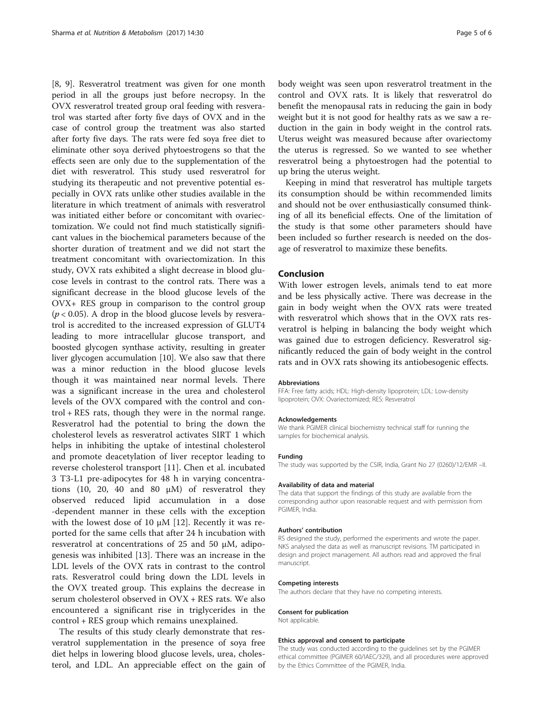[[8, 9](#page-5-0)]. Resveratrol treatment was given for one month period in all the groups just before necropsy. In the OVX resveratrol treated group oral feeding with resveratrol was started after forty five days of OVX and in the case of control group the treatment was also started after forty five days. The rats were fed soya free diet to eliminate other soya derived phytoestrogens so that the effects seen are only due to the supplementation of the diet with resveratrol. This study used resveratrol for studying its therapeutic and not preventive potential especially in OVX rats unlike other studies available in the literature in which treatment of animals with resveratrol was initiated either before or concomitant with ovariectomization. We could not find much statistically significant values in the biochemical parameters because of the shorter duration of treatment and we did not start the treatment concomitant with ovariectomization. In this study, OVX rats exhibited a slight decrease in blood glucose levels in contrast to the control rats. There was a significant decrease in the blood glucose levels of the OVX+ RES group in comparison to the control group  $(p < 0.05)$ . A drop in the blood glucose levels by resveratrol is accredited to the increased expression of GLUT4 leading to more intracellular glucose transport, and boosted glycogen synthase activity, resulting in greater liver glycogen accumulation [[10\]](#page-5-0). We also saw that there was a minor reduction in the blood glucose levels though it was maintained near normal levels. There was a significant increase in the urea and cholesterol levels of the OVX compared with the control and control + RES rats, though they were in the normal range. Resveratrol had the potential to bring the down the cholesterol levels as resveratrol activates SIRT 1 which helps in inhibiting the uptake of intestinal cholesterol and promote deacetylation of liver receptor leading to reverse cholesterol transport [[11\]](#page-5-0). Chen et al. incubated 3 T3-L1 pre-adipocytes for 48 h in varying concentrations (10, 20, 40 and 80  $\mu$ M) of resveratrol they observed reduced lipid accumulation in a dose -dependent manner in these cells with the exception with the lowest dose of 10 μM [[12\]](#page-5-0). Recently it was reported for the same cells that after 24 h incubation with resveratrol at concentrations of 25 and 50 μM, adipogenesis was inhibited [\[13](#page-5-0)]. There was an increase in the LDL levels of the OVX rats in contrast to the control rats. Resveratrol could bring down the LDL levels in the OVX treated group. This explains the decrease in serum cholesterol observed in OVX + RES rats. We also encountered a significant rise in triglycerides in the control + RES group which remains unexplained.

The results of this study clearly demonstrate that resveratrol supplementation in the presence of soya free diet helps in lowering blood glucose levels, urea, cholesterol, and LDL. An appreciable effect on the gain of body weight was seen upon resveratrol treatment in the control and OVX rats. It is likely that resveratrol do benefit the menopausal rats in reducing the gain in body weight but it is not good for healthy rats as we saw a reduction in the gain in body weight in the control rats. Uterus weight was measured because after ovariectomy the uterus is regressed. So we wanted to see whether resveratrol being a phytoestrogen had the potential to up bring the uterus weight.

Keeping in mind that resveratrol has multiple targets its consumption should be within recommended limits and should not be over enthusiastically consumed thinking of all its beneficial effects. One of the limitation of the study is that some other parameters should have been included so further research is needed on the dosage of resveratrol to maximize these benefits.

## Conclusion

With lower estrogen levels, animals tend to eat more and be less physically active. There was decrease in the gain in body weight when the OVX rats were treated with resveratrol which shows that in the OVX rats resveratrol is helping in balancing the body weight which was gained due to estrogen deficiency. Resveratrol significantly reduced the gain of body weight in the control rats and in OVX rats showing its antiobesogenic effects.

#### Abbreviations

FFA: Free fatty acids; HDL: High-density lipoprotein; LDL: Low-density lipoprotein; OVX: Ovariectomized; RES: Resveratrol

#### Acknowledgements

We thank PGIMER clinical biochemistry technical staff for running the samples for biochemical analysis.

#### Funding

The study was supported by the CSIR, India, Grant No 27 (0260)/12/EMR –II.

#### Availability of data and material

The data that support the findings of this study are available from the corresponding author upon reasonable request and with permission from PGIMER, India.

#### Authors' contribution

RS designed the study, performed the experiments and wrote the paper. NKS analysed the data as well as manuscript revisions. TM participated in design and project management. All authors read and approved the final manuscript.

#### Competing interests

The authors declare that they have no competing interests.

#### Consent for publication

Not applicable.

#### Ethics approval and consent to participate

The study was conducted according to the guidelines set by the PGIMER ethical committee (PGIMER 60/IAEC/329), and all procedures were approved by the Ethics Committee of the PGIMER, India.